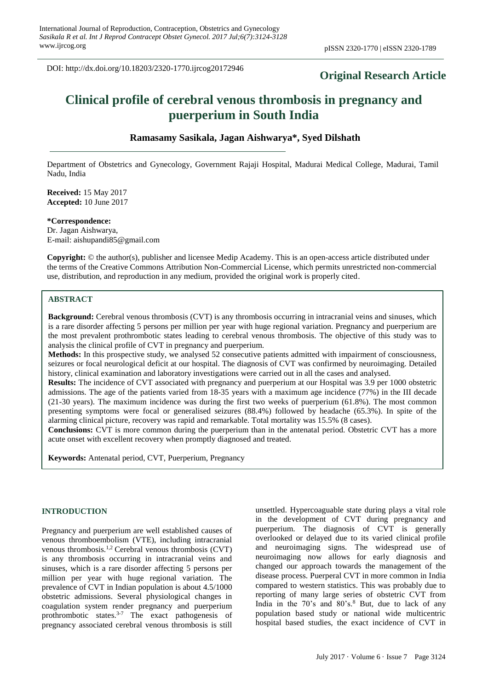DOI: http://dx.doi.org/10.18203/2320-1770.ijrcog20172946

# **Original Research Article**

# **Clinical profile of cerebral venous thrombosis in pregnancy and puerperium in South India**

# **Ramasamy Sasikala, Jagan Aishwarya\*, Syed Dilshath**

Department of Obstetrics and Gynecology, Government Rajaji Hospital, Madurai Medical College, Madurai, Tamil Nadu, India

**Received:** 15 May 2017 **Accepted:** 10 June 2017

**\*Correspondence:** Dr. Jagan Aishwarya, E-mail: aishupandi85@gmail.com

**Copyright:** © the author(s), publisher and licensee Medip Academy. This is an open-access article distributed under the terms of the Creative Commons Attribution Non-Commercial License, which permits unrestricted non-commercial use, distribution, and reproduction in any medium, provided the original work is properly cited.

#### **ABSTRACT**

**Background:** Cerebral venous thrombosis (CVT) is any thrombosis occurring in intracranial veins and sinuses, which is a rare disorder affecting 5 persons per million per year with huge regional variation. Pregnancy and puerperium are the most prevalent prothrombotic states leading to cerebral venous thrombosis. The objective of this study was to analysis the clinical profile of CVT in pregnancy and puerperium.

**Methods:** In this prospective study, we analysed 52 consecutive patients admitted with impairment of consciousness, seizures or focal neurological deficit at our hospital. The diagnosis of CVT was confirmed by neuroimaging. Detailed history, clinical examination and laboratory investigations were carried out in all the cases and analysed.

**Results:** The incidence of CVT associated with pregnancy and puerperium at our Hospital was 3.9 per 1000 obstetric admissions. The age of the patients varied from 18-35 years with a maximum age incidence (77%) in the III decade (21-30 years). The maximum incidence was during the first two weeks of puerperium (61.8%). The most common presenting symptoms were focal or generalised seizures (88.4%) followed by headache (65.3%). In spite of the alarming clinical picture, recovery was rapid and remarkable. Total mortality was 15.5% (8 cases).

**Conclusions:** CVT is more common during the puerperium than in the antenatal period. Obstetric CVT has a more acute onset with excellent recovery when promptly diagnosed and treated.

**Keywords:** Antenatal period, CVT, Puerperium, Pregnancy

# **INTRODUCTION**

Pregnancy and puerperium are well established causes of venous thromboembolism (VTE), including intracranial venous thrombosis.1,2 Cerebral venous thrombosis (CVT) is any thrombosis occurring in intracranial veins and sinuses, which is a rare disorder affecting 5 persons per million per year with huge regional variation. The prevalence of CVT in Indian population is about 4.5/1000 obstetric admissions. Several physiological changes in coagulation system render pregnancy and puerperium prothrombotic states.3-7 The exact pathogenesis of pregnancy associated cerebral venous thrombosis is still unsettled. Hypercoaguable state during plays a vital role in the development of CVT during pregnancy and puerperium. The diagnosis of CVT is generally overlooked or delayed due to its varied clinical profile and neuroimaging signs. The widespread use of neuroimaging now allows for early diagnosis and changed our approach towards the management of the disease process. Puerperal CVT in more common in India compared to western statistics. This was probably due to reporting of many large series of obstetric CVT from India in the  $70^{\circ}$ s and  $80^{\circ}$ s.<sup>8</sup> But, due to lack of any population based study or national wide multicentric hospital based studies, the exact incidence of CVT in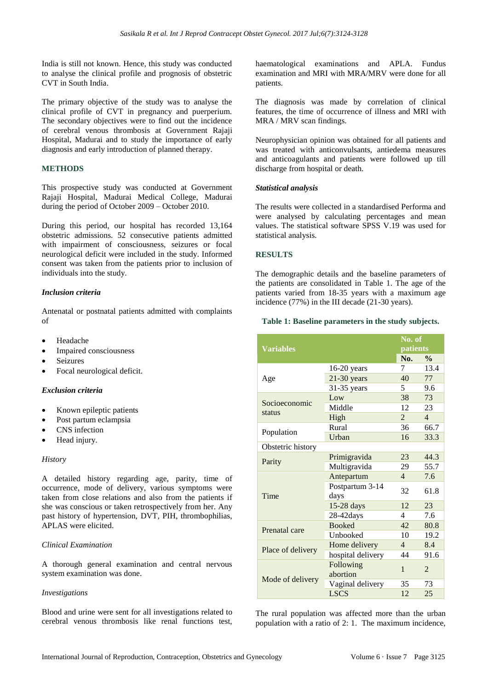India is still not known. Hence, this study was conducted to analyse the clinical profile and prognosis of obstetric CVT in South India.

The primary objective of the study was to analyse the clinical profile of CVT in pregnancy and puerperium. The secondary objectives were to find out the incidence of cerebral venous thrombosis at Government Rajaji Hospital, Madurai and to study the importance of early diagnosis and early introduction of planned therapy.

# **METHODS**

This prospective study was conducted at Government Rajaji Hospital, Madurai Medical College, Madurai during the period of October 2009 – October 2010.

During this period, our hospital has recorded 13,164 obstetric admissions. 52 consecutive patients admitted with impairment of consciousness, seizures or focal neurological deficit were included in the study. Informed consent was taken from the patients prior to inclusion of individuals into the study.

# *Inclusion criteria*

Antenatal or postnatal patients admitted with complaints of

- Headache
- Impaired consciousness
- **Seizures**
- Focal neurological deficit.

#### *Exclusion criteria*

- Known epileptic patients
- Post partum eclampsia
- CNS infection
- Head injury.

#### *History*

A detailed history regarding age, parity, time of occurrence, mode of delivery, various symptoms were taken from close relations and also from the patients if she was conscious or taken retrospectively from her. Any past history of hypertension, DVT, PIH, thrombophilias, APLAS were elicited.

#### *Clinical Examination*

A thorough general examination and central nervous system examination was done.

#### *Investigations*

Blood and urine were sent for all investigations related to cerebral venous thrombosis like renal functions test,

haematological examinations and APLA. Fundus examination and MRI with MRA/MRV were done for all patients.

The diagnosis was made by correlation of clinical features, the time of occurrence of illness and MRI with MRA / MRV scan findings.

Neurophysician opinion was obtained for all patients and was treated with anticonvulsants, antiedema measures and anticoagulants and patients were followed up till discharge from hospital or death.

#### *Statistical analysis*

The results were collected in a standardised Performa and were analysed by calculating percentages and mean values. The statistical software SPSS V.19 was used for statistical analysis.

# **RESULTS**

The demographic details and the baseline parameters of the patients are consolidated in Table 1. The age of the patients varied from 18-35 years with a maximum age incidence (77%) in the III decade (21-30 years).

# **Table 1: Baseline parameters in the study subjects.**

| <b>Variables</b>        |                         |                | No. of         |  |
|-------------------------|-------------------------|----------------|----------------|--|
|                         |                         | patients       |                |  |
|                         |                         | No.            | $\frac{0}{0}$  |  |
| Age                     | 16-20 years             | 7              | 13.4           |  |
|                         | $21-30$ years           | 40             | 77             |  |
|                         | $31-35$ years           | 5.             | 9.6            |  |
| Socioeconomic<br>status | Low                     | 38             | 73             |  |
|                         | Middle                  | 12             | 23             |  |
|                         | High                    | $\mathbf{2}$   | $\overline{4}$ |  |
| Population              | Rural                   | 36             | 66.7           |  |
|                         | Urban                   | 16             | 33.3           |  |
| Obstetric history       |                         |                |                |  |
|                         | Primigravida            | 23             | 44.3           |  |
| Parity                  | Multigravida            | 29             | 55.7           |  |
| Time                    | Antepartum              | $\overline{4}$ | 7.6            |  |
|                         | Postpartum 3-14<br>days | 32             | 61.8           |  |
|                         | $15-28$ days            | 12             | 23             |  |
|                         | $28-42$ days            | 4              | 7.6            |  |
| Prenatal care           | <b>Booked</b>           | 42             | 80.8           |  |
|                         | Unbooked                | 10             | 19.2           |  |
| Place of delivery       | Home delivery           | $\overline{4}$ | 8.4            |  |
|                         | hospital delivery       | 44             | 91.6           |  |
| Mode of delivery        | Following<br>abortion   | 1              | 2              |  |
|                         | Vaginal delivery        | 35             | 73             |  |
|                         | <b>LSCS</b>             | 12             | 25             |  |

The rural population was affected more than the urban population with a ratio of 2: 1. The maximum incidence,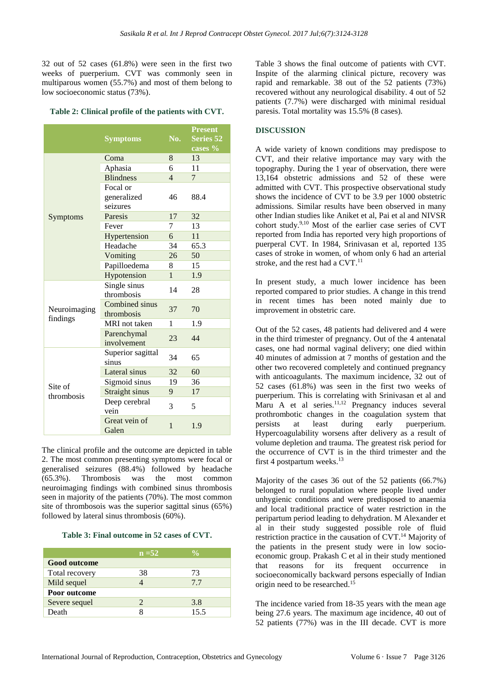32 out of 52 cases (61.8%) were seen in the first two weeks of puerperium. CVT was commonly seen in multiparous women (55.7%) and most of them belong to low socioeconomic status (73%).

#### **Table 2: Clinical profile of the patients with CVT.**

|                          | <b>Symptoms</b>              | No.            | <b>Present</b><br><b>Series 52</b><br>cases % |
|--------------------------|------------------------------|----------------|-----------------------------------------------|
|                          | Coma                         | 8              | 13                                            |
|                          | Aphasia                      | 6              | 11                                            |
|                          | <b>Blindness</b>             | $\overline{4}$ | $\tau$                                        |
|                          | Focal or                     |                |                                               |
|                          | generalized                  | 46             | 88.4                                          |
|                          | seizures                     |                |                                               |
| Symptoms                 | Paresis                      | 17             | 32                                            |
|                          | Fever                        | 7              | 13                                            |
|                          | Hypertension                 | 6              | 11                                            |
|                          | Headache                     | 34             | 65.3                                          |
|                          | Vomiting                     | 26             | 50                                            |
|                          | Papilloedema                 | 8              | 15                                            |
|                          | Hypotension                  | $\mathbf{1}$   | 1.9                                           |
| Neuroimaging<br>findings | Single sinus<br>thrombosis   | 14             | 28                                            |
|                          | Combined sinus<br>thrombosis | 37             | 70                                            |
|                          | MRI not taken                | 1              | 1.9                                           |
|                          | Parenchymal<br>involvement   | 23             | 44                                            |
| Site of<br>thrombosis    | Superior sagittal<br>sinus   | 34             | 65                                            |
|                          | Lateral sinus                | 32             | 60                                            |
|                          | Sigmoid sinus                | 19             | 36                                            |
|                          | Straight sinus               | 9              | 17                                            |
|                          | Deep cerebral<br>vein        | 3              | 5                                             |
|                          | Great vein of<br>Galen       | $\mathbf{1}$   | 1.9                                           |

The clinical profile and the outcome are depicted in table 2. The most common presenting symptoms were focal or generalised seizures (88.4%) followed by headache (65.3%). Thrombosis was the most common neuroimaging findings with combined sinus thrombosis seen in majority of the patients (70%). The most common site of thrombosois was the superior sagittal sinus (65%) followed by lateral sinus thrombosis (60%).

#### **Table 3: Final outcome in 52 cases of CVT.**

|                     | $n = 52$              | $\frac{0}{\alpha}$ |
|---------------------|-----------------------|--------------------|
| <b>Good outcome</b> |                       |                    |
| Total recovery      | 38                    | 73                 |
| Mild sequel         |                       | 7.7                |
| Poor outcome        |                       |                    |
| Severe sequel       | $\mathcal{D}_{\cdot}$ | 3.8                |
| Death               | x                     | 15.5               |

Table 3 shows the final outcome of patients with CVT. Inspite of the alarming clinical picture, recovery was rapid and remarkable. 38 out of the 52 patients (73%) recovered without any neurological disability. 4 out of 52 patients (7.7%) were discharged with minimal residual paresis. Total mortality was 15.5% (8 cases).

# **DISCUSSION**

A wide variety of known conditions may predispose to CVT, and their relative importance may vary with the topography. During the 1 year of observation, there were 13,164 obstetric admissions and 52 of these were admitted with CVT. This prospective observational study shows the incidence of CVT to be 3.9 per 1000 obstetric admissions. Similar results have been observed in many other Indian studies like Aniket et al, Pai et al and NIVSR cohort study. 9,10 Most of the earlier case series of CVT reported from India has reported very high proportions of puerperal CVT. In 1984, Srinivasan et al, reported 135 cases of stroke in women, of whom only 6 had an arterial stroke, and the rest had a  $CVT$ .<sup>11</sup>

In present study, a much lower incidence has been reported compared to prior studies. A change in this trend in recent times has been noted mainly due to improvement in obstetric care.

Out of the 52 cases, 48 patients had delivered and 4 were in the third trimester of pregnancy. Out of the 4 antenatal cases, one had normal vaginal delivery; one died within 40 minutes of admission at 7 months of gestation and the other two recovered completely and continued pregnancy with anticoagulants. The maximum incidence, 32 out of 52 cases (61.8%) was seen in the first two weeks of puerperium. This is correlating with Srinivasan et al and Maru A et al series.<sup>11,12</sup> Pregnancy induces several prothrombotic changes in the coagulation system that persists at least during early puerperium. Hypercoagulability worsens after delivery as a result of volume depletion and trauma. The greatest risk period for the occurrence of CVT is in the third trimester and the first 4 postpartum weeks. $13$ 

Majority of the cases 36 out of the 52 patients (66.7%) belonged to rural population where people lived under unhygienic conditions and were predisposed to anaemia and local traditional practice of water restriction in the peripartum period leading to dehydration. M Alexander et al in their study suggested possible role of fluid restriction practice in the causation of CVT.<sup>14</sup> Majority of the patients in the present study were in low socioeconomic group. Prakash C et al in their study mentioned that reasons for its frequent occurrence in socioeconomically backward persons especially of Indian origin need to be researched.<sup>15</sup>

The incidence varied from 18-35 years with the mean age being 27.6 years. The maximum age incidence, 40 out of 52 patients (77%) was in the III decade. CVT is more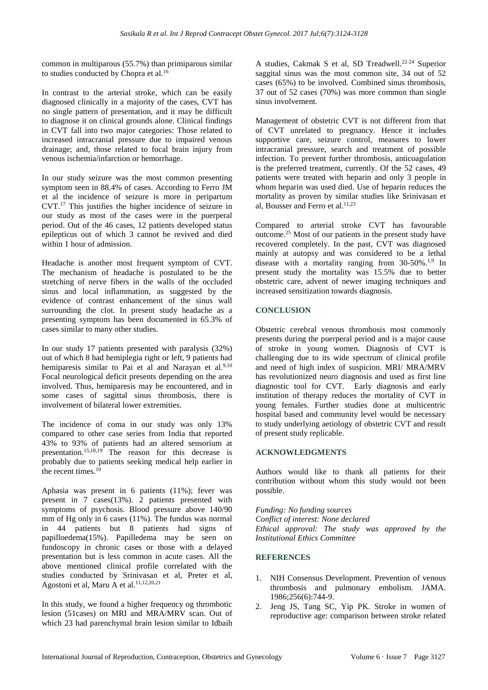common in multiparous (55.7%) than primiparous similar to studies conducted by Chopra et al.<sup>16</sup>

In contrast to the arterial stroke, which can be easily diagnosed clinically in a majority of the cases, CVT has no single pattern of presentation, and it may be difficult to diagnose it on clinical grounds alone. Clinical findings in CVT fall into two major categories: Those related to increased intracranial pressure due to impaired venous drainage; and, those related to focal brain injury from venous ischemia/infarction or hemorrhage.

In our study seizure was the most common presenting symptom seen in 88.4% of cases. According to Ferro JM et al the incidence of seizure is more in peripartum CVT.<sup>17</sup> This justifies the higher incidence of seizure in our study as most of the cases were in the puerperal period. Out of the 46 cases, 12 patients developed status epilepticus out of which 3 cannot be revived and died within 1 hour of admission.

Headache is another most frequent symptom of CVT. The mechanism of headache is postulated to be the stretching of nerve fibers in the walls of the occluded sinus and local inflammation, as suggested by the evidence of contrast enhancement of the sinus wall surrounding the clot. In present study headache as a presenting symptom has been documented in 65.3% of cases similar to many other studies.

In our study 17 patients presented with paralysis (32%) out of which 8 had hemiplegia right or left, 9 patients had hemiparesis similar to Pai et al and Narayan et al.<sup>9,10</sup> Focal neurological deficit presents depending on the area involved. Thus, hemiparesis may be encountered, and in some cases of sagittal sinus thrombosis, there is involvement of bilateral lower extremities.

The incidence of coma in our study was only 13% compared to other case series from India that reported 43% to 93% of patients had an altered sensorium at presentation.<sup>15,18,19</sup> The reason for this decrease is probably due to patients seeking medical help earlier in the recent times.<sup>10</sup>

Aphasia was present in 6 patients (11%); fever was present in 7 cases(13%). 2 patients presented with symptoms of psychosis. Blood pressure above 140/90 mm of Hg only in 6 cases (11%). The fundus was normal in 44 patients but 8 patients had signs of papilloedema(15%). Papilledema may be seen on fundoscopy in chronic cases or those with a delayed presentation but is less common in acute cases. All the above mentioned clinical profile correlated with the studies conducted by Srinivasan et al, Preter et al, Agostoni et al, Maru A et al. 11,12,20,21

In this study, we found a higher frequency og thrombotic lesion (51cases) on MRI and MRA/MRV scan. Out of which 23 had parenchymal brain lesion similar to Idbaih

A studies, Cakmak S et al, SD Treadwell. 22-24 Superior saggital sinus was the most common site, 34 out of 52 cases (65%) to be involved. Combined sinus thrombosis, 37 out of 52 cases (70%) was more common than single sinus involvement.

Management of obstetric CVT is not different from that of CVT unrelated to pregnancy. Hence it includes supportive care, seizure control, measures to lower intracranial pressure, search and treatment of possible infection. To prevent further thrombosis, anticoagulation is the preferred treatment, currently. Of the 52 cases, 49 patients were treated with heparin and only 3 people in whom heparin was used died. Use of heparin reduces the mortality as proven by similar studies like Srinivasan et al, Bousser and Ferro et al. 11,23

Compared to arterial stroke CVT has favourable outcome.<sup>25</sup> Most of our patients in the present study have recovered completely. In the past, CVT was diagnosed mainly at autopsy and was considered to be a lethal disease with a mortality ranging from  $30-50\%$ .<sup>1,9</sup> In present study the mortality was 15.5% due to better obstetric care, advent of newer imaging techniques and increased sensitization towards diagnosis.

# **CONCLUSION**

Obstetric cerebral venous thrombosis most commonly presents during the puerperal period and is a major cause of stroke in young women. Diagnosis of CVT is challenging due to its wide spectrum of clinical profile and need of high index of suspicion. MRI/ MRA/MRV has revolutionized neuro diagnosis and used as first line diagnostic tool for CVT. Early diagnosis and early institution of therapy reduces the mortality of CVT in young females. Further studies done at multicentric hospital based and community level would be necessary to study underlying aetiology of obstetric CVT and result of present study replicable.

# **ACKNOWLEDGMENTS**

Authors would like to thank all patients for their contribution without whom this study would not been possible.

*Funding: No funding sources Conflict of interest: None declared Ethical approval: The study was approved by the Institutional Ethics Committee*

#### **REFERENCES**

- 1. NIH Consensus Development. Prevention of venous thrombosis and pulmonary embolism. JAMA. 1986;256(6):744-9.
- 2. Jeng JS, Tang SC, Yip PK. Stroke in women of reproductive age: comparison between stroke related